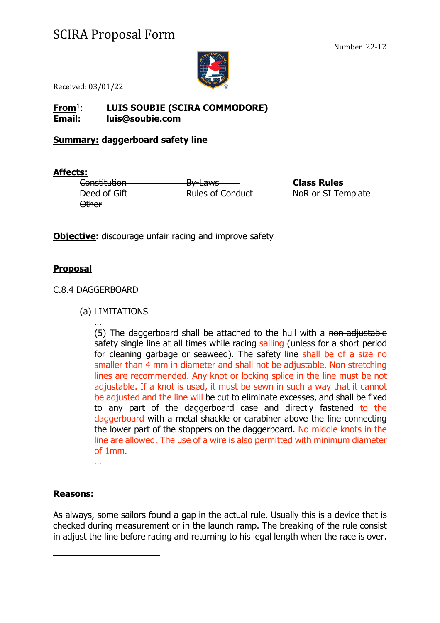

Received: 03/01/22

### **From**[1](#page-0-0): **LUIS SOUBIE (SCIRA COMMODORE) Email: luis@soubie.com**

#### **Summary: daggerboard safety line**

#### **Affects:**

| Constitution | <del>By Laws</del>                                     | <b>Class Rules</b> |
|--------------|--------------------------------------------------------|--------------------|
| Deed of Gift | <b>Dulce of Conduct</b><br><del>Kulcs of conduct</del> | NoR or SI Template |
| Other        |                                                        |                    |

**Objective:** discourage unfair racing and improve safety

### **Proposal**

#### C.8.4 DAGGERBOARD

(a) LIMITATIONS

… (5) The daggerboard shall be attached to the hull with a non-adjustable safety single line at all times while racing sailing (unless for a short period for cleaning garbage or seaweed). The safety line shall be of a size no smaller than 4 mm in diameter and shall not be adjustable. Non stretching lines are recommended. Any knot or locking splice in the line must be not adjustable. If a knot is used, it must be sewn in such a way that it cannot be adjusted and the line will be cut to eliminate excesses, and shall be fixed to any part of the daggerboard case and directly fastened to the daggerboard with a metal shackle or carabiner above the line connecting the lower part of the stoppers on the daggerboard. No middle knots in the line are allowed. The use of a wire is also permitted with minimum diameter of 1mm.

…

#### **Reasons:**

<span id="page-0-0"></span>As always, some sailors found a gap in the actual rule. Usually this is a device that is checked during measurement or in the launch ramp. The breaking of the rule consist in adjust the line before racing and returning to his legal length when the race is over.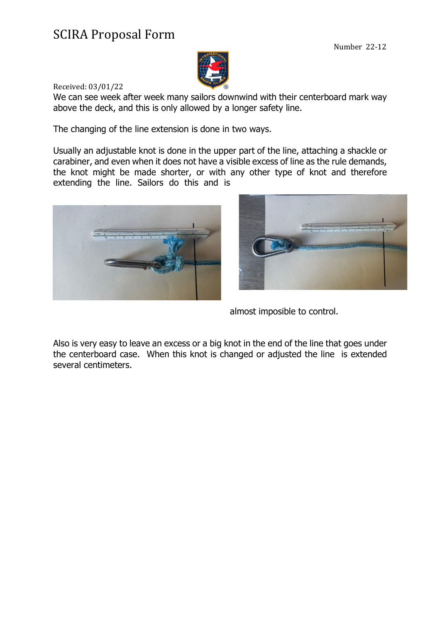

Received: 03/01/22

We can see week after week many sailors downwind with their centerboard mark way above the deck, and this is only allowed by a longer safety line.

The changing of the line extension is done in two ways.

Usually an adjustable knot is done in the upper part of the line, attaching a shackle or carabiner, and even when it does not have a visible excess of line as the rule demands, the knot might be made shorter, or with any other type of knot and therefore extending the line. Sailors do this and is





almost imposible to control.

Also is very easy to leave an excess or a big knot in the end of the line that goes under the centerboard case. When this knot is changed or adjusted the line is extended several centimeters.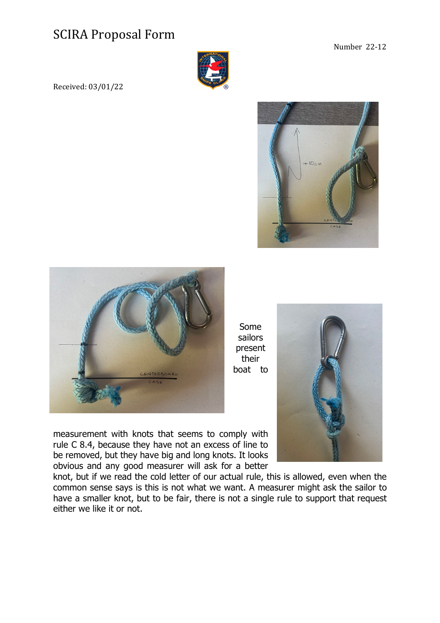

Received: 03/01/22





Some sailors present their boat to

measurement with knots that seems to comply with rule C 8.4, because they have not an excess of line to be removed, but they have big and long knots. It looks obvious and any good measurer will ask for a better

knot, but if we read the cold letter of our actual rule, this is allowed, even when the common sense says is this is not what we want. A measurer might ask the sailor to have a smaller knot, but to be fair, there is not a single rule to support that request either we like it or not.